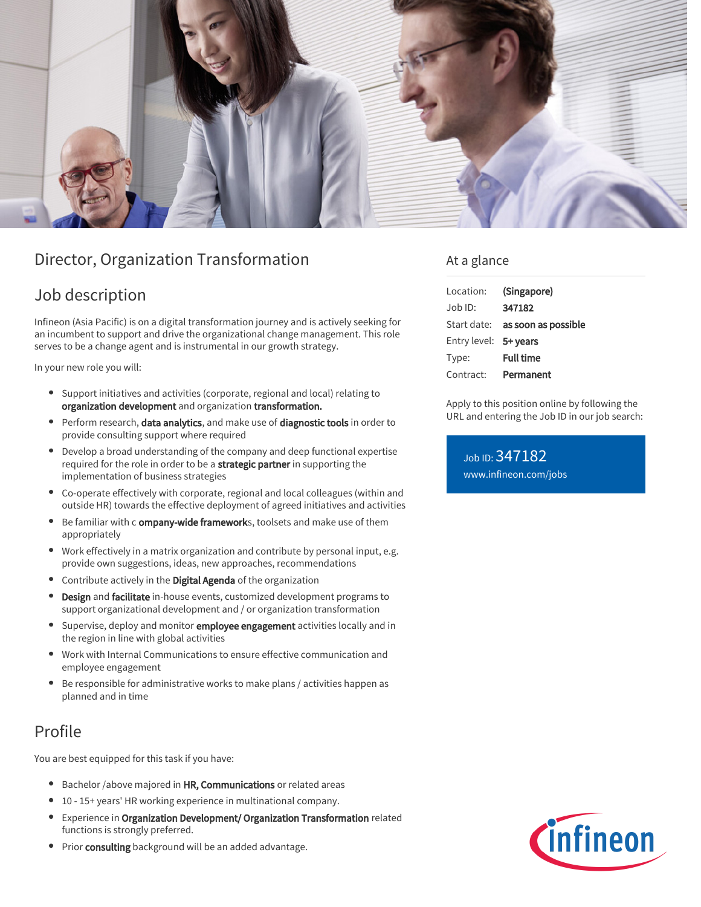

# Director, Organization Transformation

# Job description

Infineon (Asia Pacific) is on a digital transformation journey and is actively seeking for an incumbent to support and drive the organizational change management. This role serves to be a change agent and is instrumental in our growth strategy.

In your new role you will:

- Support initiatives and activities (corporate, regional and local) relating to organization development and organization transformation.
- Perform research, data analytics, and make use of diagnostic tools in order to provide consulting support where required
- Develop a broad understanding of the company and deep functional expertise required for the role in order to be a strategic partner in supporting the implementation of business strategies
- Co-operate effectively with corporate, regional and local colleagues (within and outside HR) towards the effective deployment of agreed initiatives and activities
- Be familiar with c ompany-wide frameworks, toolsets and make use of them appropriately
- Work effectively in a matrix organization and contribute by personal input, e.g. provide own suggestions, ideas, new approaches, recommendations
- Contribute actively in the Digital Agenda of the organization
- Design and facilitate in-house events, customized development programs to support organizational development and / or organization transformation
- Supervise, deploy and monitor **employee engagement** activities locally and in the region in line with global activities
- Work with Internal Communications to ensure effective communication and employee engagement
- Be responsible for administrative works to make plans / activities happen as planned and in time

# Profile

You are best equipped for this task if you have:

- **•** Bachelor /above majored in HR, Communications or related areas
- 10 15+ years' HR working experience in multinational company.
- Experience in Organization Development/ Organization Transformation related functions is strongly preferred.
- Prior consulting background will be an added advantage.

### At a glance

| Location:             | (Singapore)                            |
|-----------------------|----------------------------------------|
| Job ID:               | 347182                                 |
|                       | Start date: <b>as soon as possible</b> |
| Entry level: 5+ years |                                        |
| Type:                 | <b>Full time</b>                       |
| Contract:             | Permanent                              |

Apply to this position online by following the URL and entering the Job ID in our job search:

Job ID: 347182 [www.infineon.com/jobs](https://www.infineon.com/jobs)